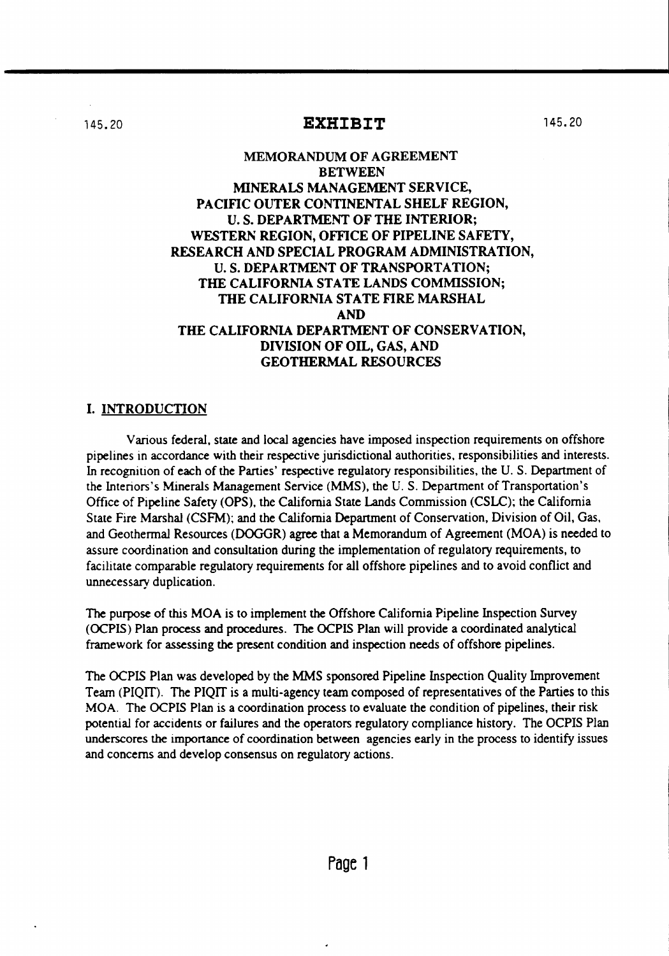### 145.20 **EXHIBIT**

## MEMORANDUM OF AGREEMENT BETWEEN MINERALS MANAGEMENT SERVICE, PACIFIC OUTER CONTINENTAL SHELF REGION, U. S. DEPARTMENT OF THE INTERIOR; WESTERN REGION, OFFICE OF PIPELINE SAFETY, RESEARCH AND SPECIAL PROGRAM ADMINISTRATION, U. S. DEPARTMENT OF TRANSPORTATION; THE CALIFORNIA STATE LANDS COMMISSION; THE CALIFORNIA STATE FIRE MARSHAL AND THE CALIFORNIA DEPARTMENT OF CONSERVATION, DIVISION OF OIL, GAS, AND GEOTHERMAL RESOURCES

## I. INTRODUCTION

Various federal, state and local agencies have imposed inspection requirements on offshore pipelines in accordance with their respective jurisdictional authorities, responsibilities and interests. In recognition of each of the Parties' respective regulatory responsibilities, the U. S. Department of the Interiors's Minerals Management Service (MMS), the U. S. Department of Transportation's Office of Pipeline Safety (OPS), the California State Lands Commission (CSLC); the California State Fire Marshal (CSFM); and the California Department of Conservation, Division of Oil, Gas, and Geothermal Resources (DOGGR) agree that a Memorandum of Agreement (MOA) is needed to assure coordination and consultation during the implementation of regulatory requirements, to facilitate comparable regulatory requirements for all offshore pipelines and to avoid conflict and unnecessary duplication.

The purpose of this MOA is to implement the Offshore California Pipeline Inspection Survey (OCPIS) Plan process and procedures. The OCPIS Plan will provide a coordinated analytical framework for assessing the present condition and inspection needs of offshore pipelines.

The OCPIS Plan was developed by the MMS sponsored Pipeline Inspection Quality Improvement Team (PIQIT). The PIQIT is a multi-agency team composed of representatives of the Parties to this MOA. The OCPIS Plan is a coordination process to evaluate the condition of pipelines, their risk potential for accidents or failures and the operators regulatory compliance history. The OCPIS Plan underscores the imponance of coordination between agencies early in the process to identify issues and concerns and develop consensus on regulatory actions.

145.20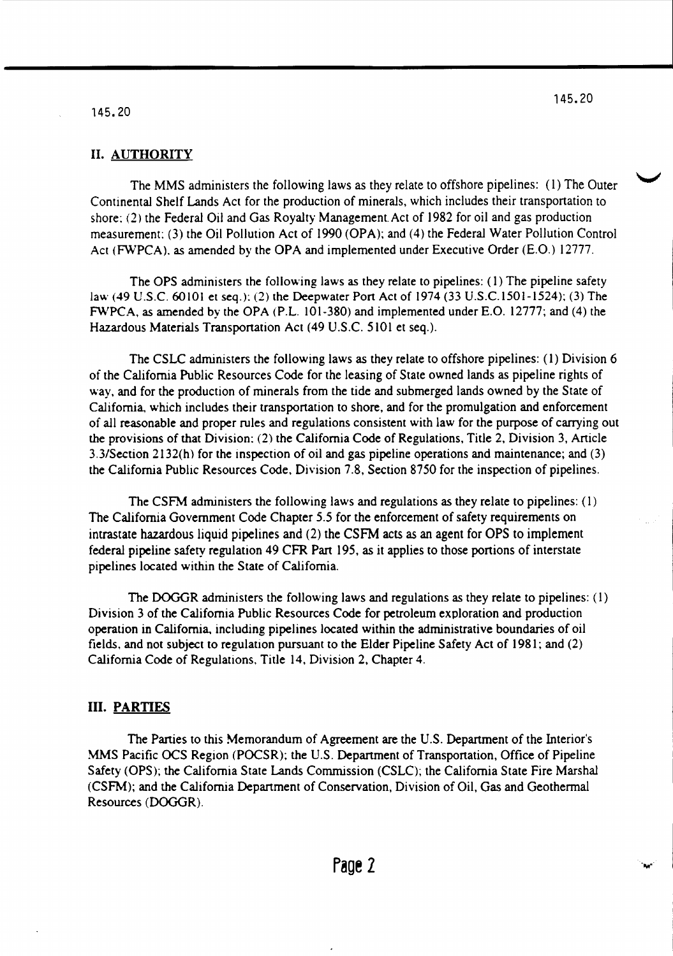#### 145.20

#### II. AUTHORITY

The MMS administers the following laws as they relate to offshore pipelines: (1) The Outer Continental Shelf Lands Act for the production of minerals, which includes their transportation to shore: (2) the Federal Oil and Gas Royalty Management. Act of 1982 for oil and gas production measurement: (3) the Oil Pollution Act of 1990 (OPA); and (4) the Federal Water Pollution Control Act (FWPCA), as amended by the OPA and implemented under Executive Order (E.O.) 12777.

The OPS administers the following laws as they relate to pipelines: (1) The pipeline safety law (49 U.s.c. 60101 et seq.): (2) the Deepwater Port Act of 1974 (33 U.S.C.1501-1524); (3) The FWPCA. as amended by the OPA (PL. 101-380) and implemented under E.O. 12777; and (4) the Hazardous Materials Transportation Act (49 U.S.c. 5101 et seq.).

The CSLC administers the following laws as they relate to offshore pipelines: (1) Division 6 of the California Public Resources Code for the leasing of State owned lands as pipeline rights of way. and for the production of minerals from the tide and submerged lands owned by the State of California, which includes their transportation to shore. and for the promulgation and enforcement of all reasonable and proper rules and regulations consistent with law for the purpose of carrying out the provisions of that Division: (2) the California Code of Regulations. Title 2. Division 3. Article 3.3/Section 2132(h) for the inspection of oil and gas pipeline operations and maintenance; and (3) the California Public Resources Code. Division 7.8. Section 8750 for the inspection of pipelines.

The CSFM administers the following laws and regulations as they relate to pipelines: (I) The California Government Code Chapter 5.5 for the enforcement of safety requirements on intrastate hazardous liquid pipelines and (2) the CSFM acts as an agent for OPS to implement federal pipeline safety regulation 49 CFR Part 195, as it applies to those portions of interstate pipelines located within the State of California.

The DOGGR administers the following laws and regulations as they relate to pipelines: (I) Division 3 of the California Public Resources Code for petroleum exploration and production operation in California. including pipelines located within the administrative boundaries of oil fields, and not subject to regulation pursuant to the Elder Pipeline Safety Act of 1981; and (2) California Code of Regulations. Title 14. Division 2, Chapter 4.

#### **m. PARTIES**

The Parties to this Memorandum of Agreement are the U.S. Department of the Interior's MMS Pacific OCS Region (POCSR); the U.S. Department of Transportation, Office of Pipeline Safety (OPS); the California State Lands Commission (CSLC); the California State Fire Marshal (CSFM); and the California Department of Conservation, Division of Oil. Gas and Geothermal Resources (DOGGR).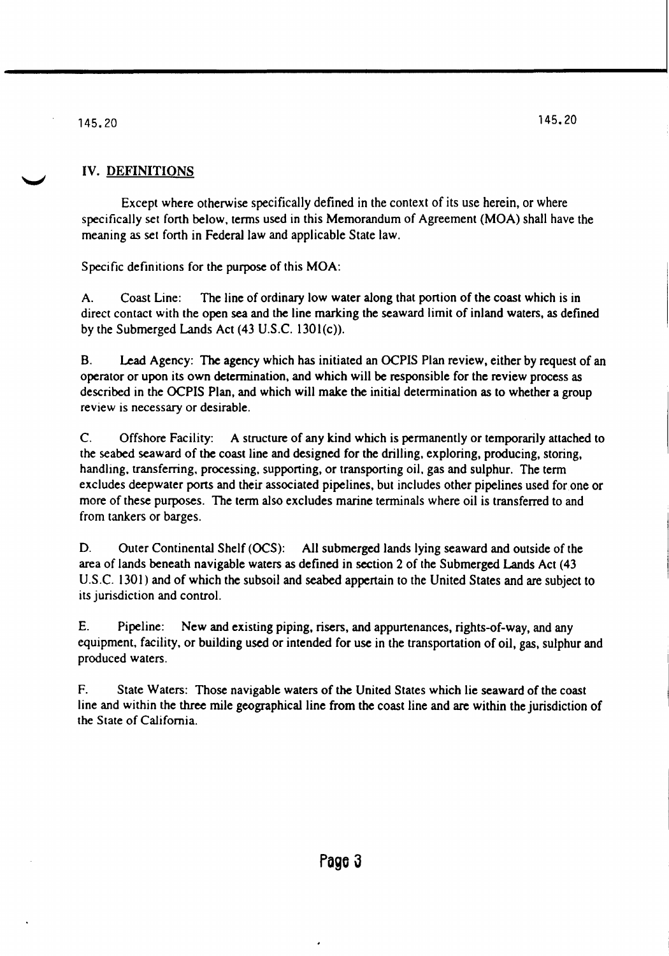# IV. DEFINITIONS

Except where otherwise specifically defined in the context of its use herein, or where specifically set fonh below. terms used in this Memorandum of Agreement (MOA) shall have the meaning as set fonh in Federal law and applicable State law.

Specific definitions for the purpose of this MOA:

A. Coast Line: The line of ordinary low water along that portion of the coast which is in direct contact with the open sea and the line marking the seaward limit of inland waters, as defined by the Submerged Lands Act (43 U.S.C. 1301(c)).

B. Lead Agency: The agency which has initiated an OCPIS Plan review, either by request of an operator or upon its own determination, and which will be responsible for the review process as described in the OCPIS Plan, and which will make the initial determination as to whether a group review is necessary or desirable.

C. Offshore Facility: A structure of any kind which is permanently or temporarily attached to the seabed seaward of the coast line and designed for the drilling. exploring, producing, storing, handling, transferring, processing, supporting, or transporting oil, gas and sulphur. The term excludes deepwater ports and their associated pipelines, but includes other pipelines used for one or more of these purposes. The term also excludes marine terminals where oil is transferred to and from tankers or barges.

D. Outer Continental Shelf (OCS): All submerged lands lying seaward and outside of the area of lands beneath navigable waters as defined in section 2 of the Submerged Lands Act (43 U.S.C. 1301) and of which the subsoil and seabed appertain to the United States and are subject to its jurisdiction and control.

E. Pipeline: New and existing piping, risers, and appurtenances, rights-of-way, and any equipment, facility, or building used or intended for use in the transportation of oil, gas, sulphur and produced waters.

F. State Waters: Those navigable waters of the United States which lie seaward of the coast line and within the three mile geographical line from the coast line and are within the jurisdiction of the State of California.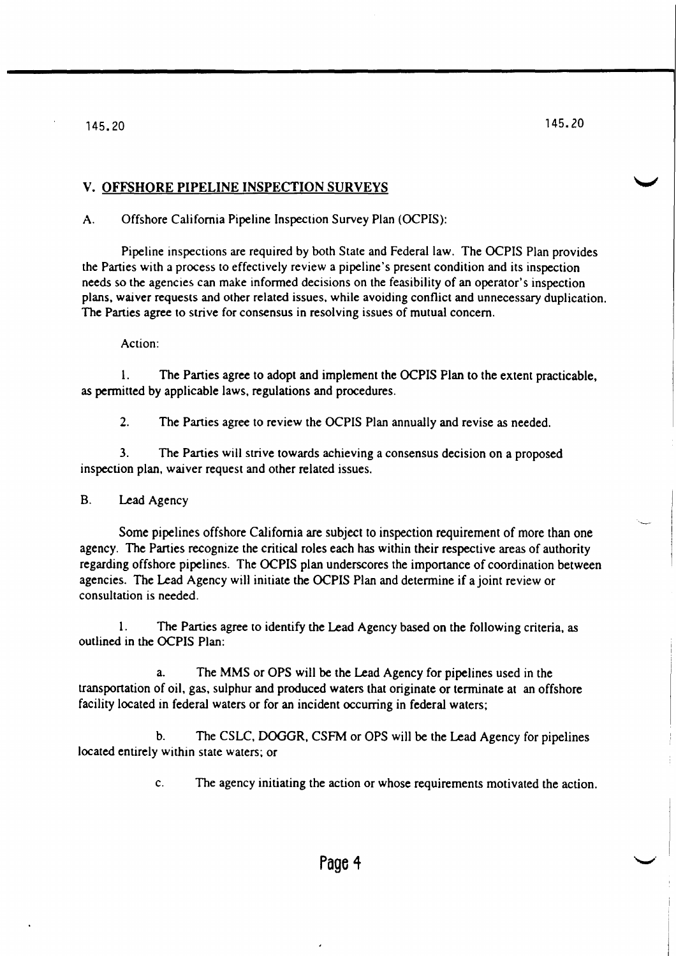# V. OFFSHORE PIPELINE INSPECTION SURVEYS

A. Offshore California Pipeline Inspection Survey Plan (OCPIS):

Pipeline inspections are required by both State and Federal law. The OCPIS Plan provides the Parties with a process to effectively review a pipeline's present condition and its inspection needs so the agencies can make informed decisions on the feasibility of an operator's inspection plans, waiver requests and other related issues. while avoiding conflict and unnecessary duplication. The Parties agree to strive for consensus in resolving issues of mutual concern.

## Action:

1. The Parties agree to adopt and implement the OCPIS Plan to the extent practicable, as permitted by applicable laws, regulations and procedures.

2. The Parties agree to review the OCPIS Plan annually and revise as needed.

3. The Parties will strive towards achieving a consensus decision on a proposed inspection plan, waiver request and other related issues.

# B. Lead Agency

Some pipelines offshore California are subject to inspection requirement of more than one agency. The Parties recognize the critical roles each has within their respective areas of authority regarding offshore pipelines. The OCPIS plan underscores the importance of coordination between agencies. The Lead Agency will initiate the OCPIS Plan and determine if a joint review or consultation is needed.

1. The Parties agree to identify the Lead Agency based on the following criteria, as outlined in the OCPIS Plan:

a. The MMS or OPS will be the Lead Agency for pipelines used in the transportation of oil. gas, sulphur and produced waters that originate or terminate at an offshore facility located in federal waters or for an incident occurring in federal waters;

b. The CSLC, DOGGR, CSFM or OPS will be the Lead Agency for pipelines located entirely within state waters; or

c. The agency initiating the action or whose requirements motivated the action.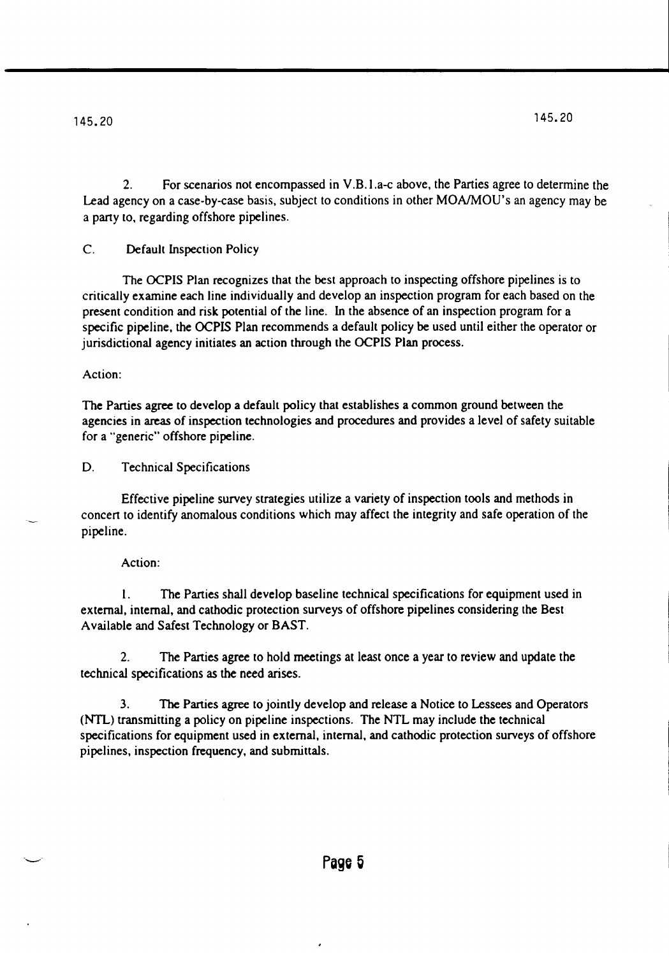2. For scenarios not encompassed in V .B.I.a-c above, the Parties agree to determine the Lead agency on a case-by-case basis, subject to conditions in other MONMOU's an agency may be a party (0, regarding offshore pipelines.

C. Default Inspection Policy

The OCPIS Plan recognizes that the best approach to inspecting offshore pipelines is to critically examine each line individually and develop an inspection program for each based on the present condition and risk potential of the line. In the absence of an inspection program for a specific pipeline, the OCPIS Plan recommends a default policy be used until either the operator or jurisdictional agency initiates an action through the OCPIS Plan process.

### Action:

The Parties agree to develop a default policy that establishes a common ground between the agencies in areas of inspection technologies and procedures and provides a level of safety suitable for a "generic" offshore pipeline.

D. Technical Specifications

Effective pipeline survey strategies utilize a variety of inspection tools and methods in concert to identify anomalous conditions which may affect the integrity and safe operation of the pipeline.

### Action:

I. The Parties shall develop baseline technical specifications for equipment used in external, internal, and cathodic protection surveys of offshore pipelines considering the Best A vailable and Safest Technology or BAST.

2. The Parties agree to hold meetings at least once a year to review and update the technical specifications as the need arises.

3. The Parties agree to jointly develop and release a Notice to Lessees and Operators (NTL) transmitting a policy on pipeline inspections. The NTL may include the technical specifications for equipment used in external, internal, and cathodic protection surveys of offshore pipelines, inspection frequency, and submittals.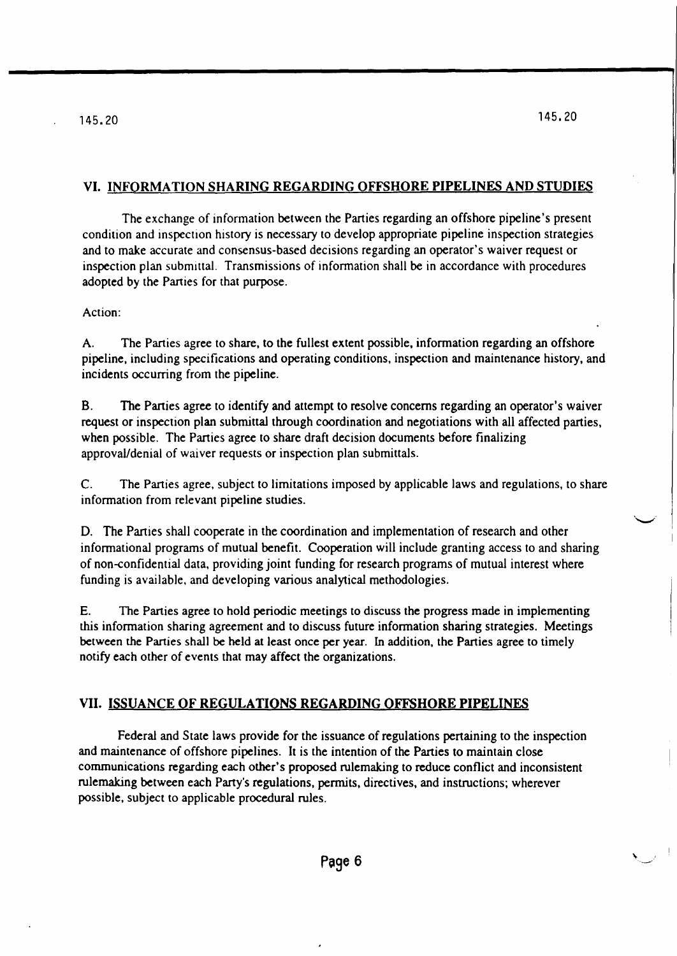# VI. INFORMATION SHARING REGARDING OFFSHORE PIPELINES AND STUDIES

The exchange of information between the Parties regarding an offshore pipeline's present condition and inspection history is necessary to develop appropriate pipeline inspection strategies and to make accurate and consensus-based decisions regarding an operator's waiver request or inspection plan submittal. Transmissions of information shall be in accordance with procedures adopted by the Panies for that purpose.

Action:

A. The Parties agree to share, to the fullest extent possible, information regarding an offshore pipeline, including specifications and operating conditions, inspection and maintenance history, and incidents occurring from the pipeline.

B. The Parties agree to identify and attempt to resolve concerns regarding an operator's waiver request or inspection plan submittal through coordination and negotiations with all affected parties, when possible. The Parties agree to share draft decision documents before finalizing approval/denial of waiver requests or inspection plan submittals.

C. The Parties agree, subject to limitations imposed by applicable laws and regulations, to share information from relevant pipeline studies.

D. The Parties shall cooperate in the coordination and implementation of research and other informational programs of mutual benefit. Cooperation will include granting access to and sharing of non-confidential data, providing joint funding for research programs of mutual interest where funding is available, and developing various analytical methodologies.

E. The Parties agree to hold periodic meetings to discuss the progress made in implementing this information sharing agreement and to discuss future information sharing strategies. Meetings between the Parties shall be held at least once per year. In addition, the Parties agree to timely notify each other of events that may affect the organizations.

# VII. ISSUANCE OF REGULATIONS REGARDING OFFSHORE PIPELINES

Federal and State laws provide for the issuance of regulations pertaining to the inspection and maintenance of offshore pipelines. It is the intention of the Parties to maintain close communications regarding each other's proposed rulemaking to reduce conflict and inconsistent rulemaking between each Party's regulations, permits, directives, and instructions; wherever possible, subject to applicable procedural rules.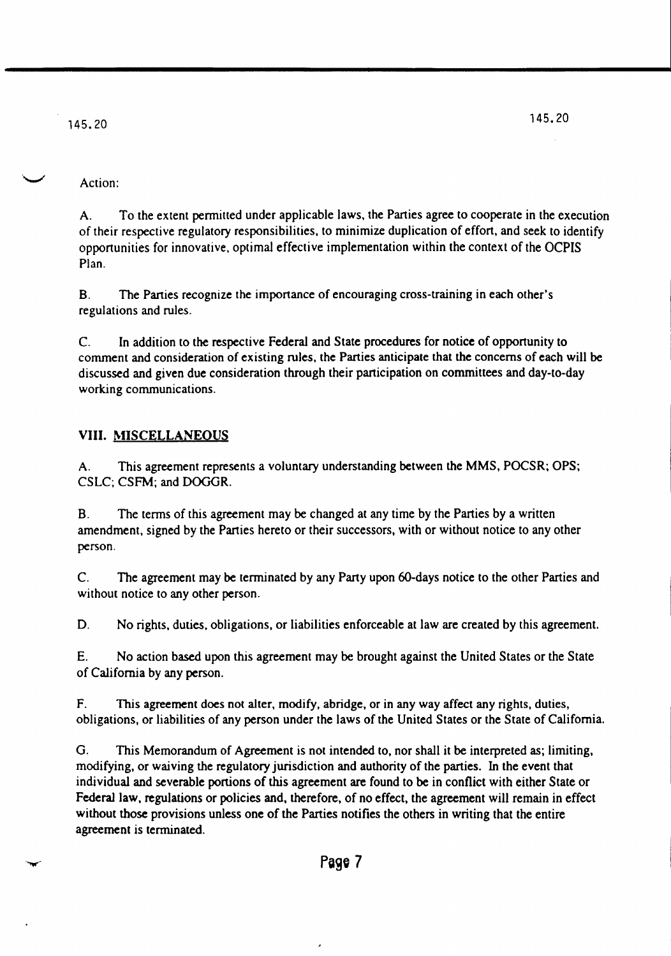# Action:

A. To the extent pennitted under applicable laws, the Parties agree to cooperate in the execution of their respective regulatory responsibilities, to minimize duplication of effort, and seek to identify opportunities for innovative, optimal effective implementation within the context of the OCPIS Plan.

B. The Parties recognize the importance of encouraging cross-training in each other's regulations and rules.

C. In addition to the respective Federal and State procedures for notice of opportunity to comment and consideration of existing rules, the Parties anticipate that the concerns of each will be discussed and given due consideration through their participation on committees and day-to-day working communications.

# **VIII. MISCELLANEOUS**

A. This agreement represents a voluntary understanding between the MMS, POCSR; OPS; CSLC; CSFM; and DOGGR.

B. The terms of this agreement may be changed at any time by the Parties by a written amendment, signed by the Parties hereto or their successors, with or without notice to any other person.

C. The agreement may be terminated by any Party upon 6O-days notice to the other Parties and without notice to any other person.

D. No rights, duties, obligations, or liabilities enforceable at law are created by this agreement.

E. No action based upon this agreement may be brought against the United States or the State of California by any person.

F. This agreement does not alter, modify, abridge, or in any way affect any rights, duties, obligations, or liabilities of any person under the laws of the United States or the State of California.

G. This Memorandum of Agreement is not intended to, nor shall it be interpreted as; limiting, modifying, or waiving the regulatory jurisdiction and authority of the parties. In the event that individual and severable portions of this agreement are found to be in conflict with either State or Federal law, regulations or policies and, therefore, of no effect, the agreement will remain in effect without those provisions unless one of the Parties notifies the others in writing that the entire agreement is terminated.